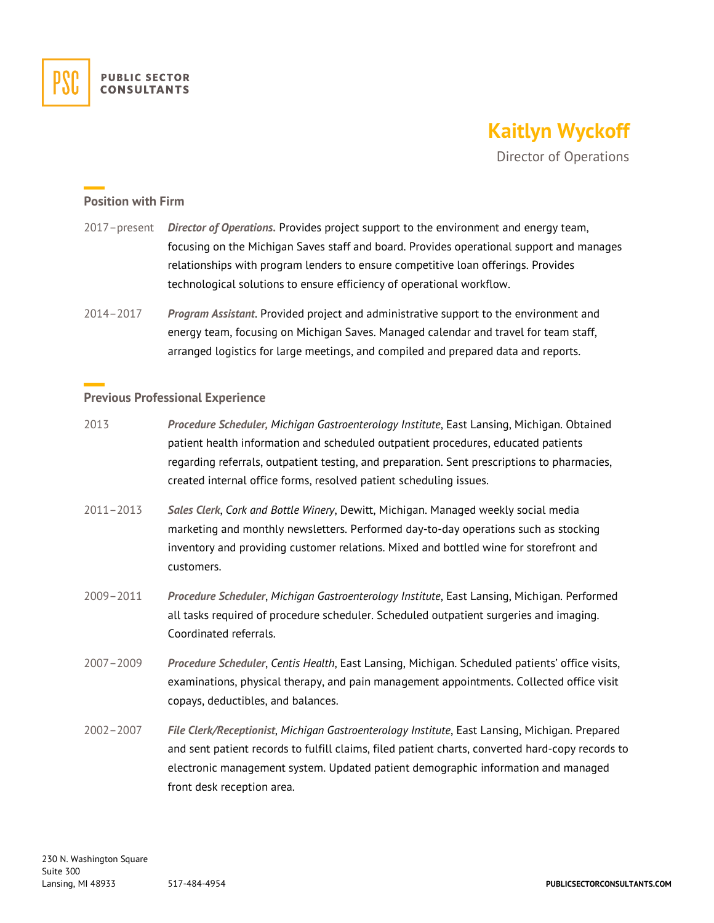

## **Kaitlyn Wyckoff**

Director of Operations

## **Position with Firm**

- 2017–present *Director of Operations.* Provides project support to the environment and energy team, focusing on the Michigan Saves staff and board. Provides operational support and manages relationships with program lenders to ensure competitive loan offerings. Provides technological solutions to ensure efficiency of operational workflow.
- 2014–2017 *Program Assistant*. Provided project and administrative support to the environment and energy team, focusing on Michigan Saves. Managed calendar and travel for team staff, arranged logistics for large meetings, and compiled and prepared data and reports.

## **Previous Professional Experience**

- 2013 *Procedure Scheduler, Michigan Gastroenterology Institute*, East Lansing, Michigan. Obtained patient health information and scheduled outpatient procedures, educated patients regarding referrals, outpatient testing, and preparation. Sent prescriptions to pharmacies, created internal office forms, resolved patient scheduling issues.
- 2011–2013 *Sales Clerk*, *Cork and Bottle Winery*, Dewitt, Michigan. Managed weekly social media marketing and monthly newsletters. Performed day-to-day operations such as stocking inventory and providing customer relations. Mixed and bottled wine for storefront and customers.
- 2009–2011 *Procedure Scheduler*, *Michigan Gastroenterology Institute*, East Lansing, Michigan. Performed all tasks required of procedure scheduler. Scheduled outpatient surgeries and imaging. Coordinated referrals.
- 2007–2009 *Procedure Scheduler*, *Centis Health*, East Lansing, Michigan. Scheduled patients' office visits, examinations, physical therapy, and pain management appointments. Collected office visit copays, deductibles, and balances.
- 2002–2007 *File Clerk/Receptionist*, *Michigan Gastroenterology Institute*, East Lansing, Michigan. Prepared and sent patient records to fulfill claims, filed patient charts, converted hard-copy records to electronic management system. Updated patient demographic information and managed front desk reception area.